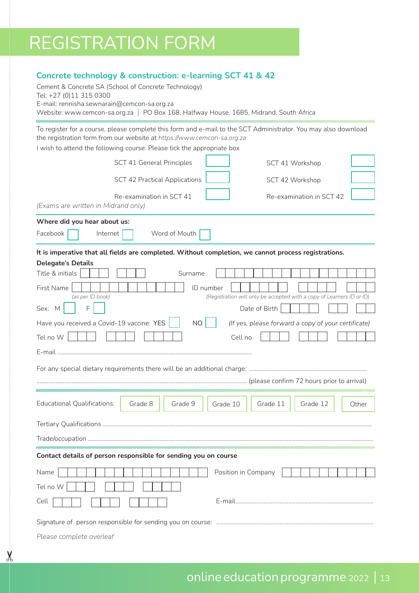# REGISTRATION FORM

### **Concrete technology & construction: e-learning SCT 41 & 42**

Educational Qualifications: Grade 8 Grade 9 Grade 10 Grade 11 Grade 12 Other Tertiary Qualifications ........................................................................................................................................................................................ Trade/occupation ................................................................................................................................................................................................... **Contact details of person responsible for sending you on course**  Name | | | | | | | | | | | | | | | | | Position in Company Cement & Concrete SA (School of Concrete Technology) Tel: +27 (0)11 315 0300 E-mail: rennisha.sewnarain@cemcon-sa.org.za Website: www.cemcon-sa.org.za | PO Box 168, Halfway House, 1685, Midrand, South Africa To register for a course, please complete this form and e-mail to the SCT Administrator. You may also download the registration form from our website at *https://www.cemcon-sa.org.za*  I wish to attend the following course: Please tick the appropriate box *(Exams are written in Midrand only)* **Where did you hear about us:** Facebook | Internet | Word of Mouth **It is imperative that all fields are completed. Without completion, we cannot process registrations. Delegate's Details** Title & initials **Title & initials** First Name | | | | | | | | | | | | | | | | | | D number *(as per ID book) (Registration will only be accepted with a copy of Learners ID or ID)*  $Sex: M \mid F \mid F$ Have you received a Covid-19 vaccine: YES | NO | *(If yes, please forward a copy of your certificate)* Tel no W Cell no E-mail ..................................................................................................................................... For any special dietary requirements there will be an additional charge: ................................................................................. ................................................................................................................................................ (please confirm 72 hours prior to arrival) Grade 10 SCT 41 General Principles SCT 42 Practical Applications Re-examination in SCT 41 SCT 41 Workshop SCT 42 Workshop Re-examination in SCT 42

Tel no W Cell E-mail.............................................................................................. Signature of person responsible for sending you on course: ...........................................................................................................

*Please complete overleaf*

 $\chi$